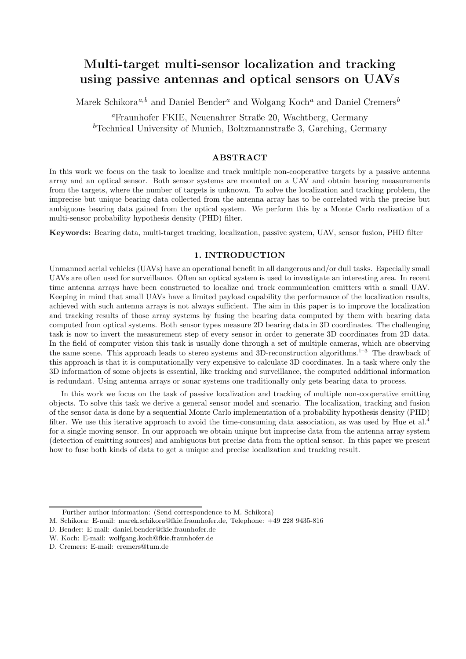# Multi-target multi-sensor localization and tracking using passive antennas and optical sensors on UAVs

Marek Schikora<sup>a,b</sup> and Daniel Bender<sup>a</sup> and Wolgang Koch<sup>a</sup> and Daniel Cremers<sup>b</sup>

<sup>a</sup>Fraunhofer FKIE, Neuenahrer Straße 20, Wachtberg, Germany <sup>b</sup>Technical University of Munich, Boltzmannstraße 3, Garching, Germany

# ABSTRACT

In this work we focus on the task to localize and track multiple non-cooperative targets by a passive antenna array and an optical sensor. Both sensor systems are mounted on a UAV and obtain bearing measurements from the targets, where the number of targets is unknown. To solve the localization and tracking problem, the imprecise but unique bearing data collected from the antenna array has to be correlated with the precise but ambiguous bearing data gained from the optical system. We perform this by a Monte Carlo realization of a multi-sensor probability hypothesis density (PHD) filter.

Keywords: Bearing data, multi-target tracking, localization, passive system, UAV, sensor fusion, PHD filter

# 1. INTRODUCTION

Unmanned aerial vehicles (UAVs) have an operational benefit in all dangerous and/or dull tasks. Especially small UAVs are often used for surveillance. Often an optical system is used to investigate an interesting area. In recent time antenna arrays have been constructed to localize and track communication emitters with a small UAV. Keeping in mind that small UAVs have a limited payload capability the performance of the localization results, achieved with such antenna arrays is not always sufficient. The aim in this paper is to improve the localization and tracking results of those array systems by fusing the bearing data computed by them with bearing data computed from optical systems. Both sensor types measure 2D bearing data in 3D coordinates. The challenging task is now to invert the measurement step of every sensor in order to generate 3D coordinates from 2D data. In the field of computer vision this task is usually done through a set of multiple cameras, which are observing the same scene. This approach leads to stereo systems and 3D-reconstruction algorithms.<sup>1–3</sup> The drawback of this approach is that it is computationally very expensive to calculate 3D coordinates. In a task where only the 3D information of some objects is essential, like tracking and surveillance, the computed additional information is redundant. Using antenna arrays or sonar systems one traditionally only gets bearing data to process.

In this work we focus on the task of passive localization and tracking of multiple non-cooperative emitting objects. To solve this task we derive a general sensor model and scenario. The localization, tracking and fusion of the sensor data is done by a sequential Monte Carlo implementation of a probability hypothesis density (PHD) filter. We use this iterative approach to avoid the time-consuming data association, as was used by Hue et al.<sup>4</sup> for a single moving sensor. In our approach we obtain unique but imprecise data from the antenna array system (detection of emitting sources) and ambiguous but precise data from the optical sensor. In this paper we present how to fuse both kinds of data to get a unique and precise localization and tracking result.

- D. Bender: E-mail: daniel.bender@fkie.fraunhofer.de
- W. Koch: E-mail: wolfgang.koch@fkie.fraunhofer.de
- D. Cremers: E-mail: cremers@tum.de

Further author information: (Send correspondence to M. Schikora)

M. Schikora: E-mail: marek.schikora@fkie.fraunhofer.de, Telephone: +49 228 9435-816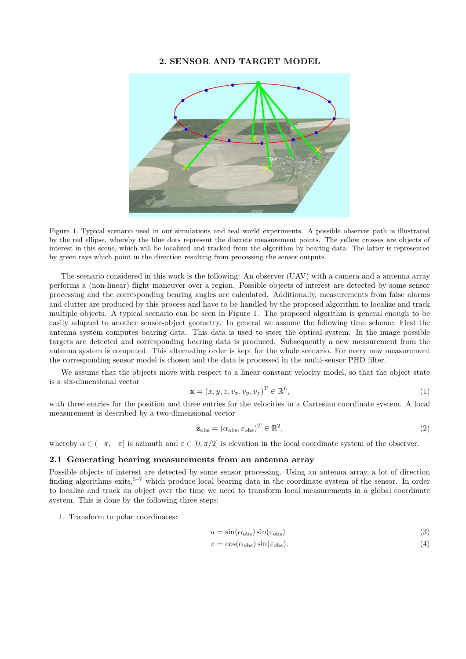#### 2. SENSOR AND TARGET MODEL



Figure 1. Typical scenario used in our simulations and real world experiments. A possible observer path is illustrated by the red ellipse, whereby the blue dots represent the discrete measurement points. The yellow crosses are objects of interest in this scene, which will be localized and tracked from the algorithm by bearing data. The latter is represented by green rays which point in the direction resulting from processing the sensor outputs.

The scenario considered in this work is the following: An observer (UAV) with a camera and a antenna array performs a (non-linear) flight maneuver over a region. Possible objects of interest are detected by some sensor processing and the corresponding bearing angles are calculated. Additionally, measurements from false alarms and clutter are produced by this process and have to be handled by the proposed algorithm to localize and track multiple objects. A typical scenario can be seen in Figure 1. The proposed algorithm is general enough to be easily adapted to another sensor-object geometry. In general we assume the following time scheme: First the antenna system computes bearing data. This data is used to steer the optical system. In the image possible targets are detected and corresponding bearing data is produced. Subsequently a new measurement from the antenna system is computed. This alternating order is kept for the whole scenario. For every new measurement the corresponding sensor model is chosen and the data is processed in the multi-sensor PHD filter.

We assume that the objects move with respect to a linear constant velocity model, so that the object state is a six-dimensional vector

$$
\mathbf{x} = (x, y, z, v_x, v_y, v_z)^T \in \mathbb{R}^6,
$$
\n(1)

with three entries for the position and three entries for the velocities in a Cartesian coordinate system. A local measurement is described by a two-dimensional vector

$$
\mathbf{z}_{\text{obs}} = (\alpha_{\text{obs}}, \varepsilon_{\text{obs}})^T \in \mathbb{R}^2,
$$
\n(2)

whereby  $\alpha \in (-\pi, +\pi]$  is azimuth and  $\varepsilon \in [0, \pi/2]$  is elevation in the local coordinate system of the observer.

## 2.1 Generating bearing measurements from an antenna array

Possible objects of interest are detected by some sensor processing. Using an antenna array, a lot of direction finding algorithms exits,<sup>5–7</sup> which produce local bearing data in the coordinate system of the sensor. In order to localize and track an object over the time we need to transform local measurements in a global coordinate system. This is done by the following three steps:

1. Transform to polar coordinates:

$$
u = \sin(\alpha_{\rm obs})\sin(\varepsilon_{\rm obs})\tag{3}
$$

$$
v = \cos(\alpha_{\rm obs})\sin(\varepsilon_{\rm obs}).\tag{4}
$$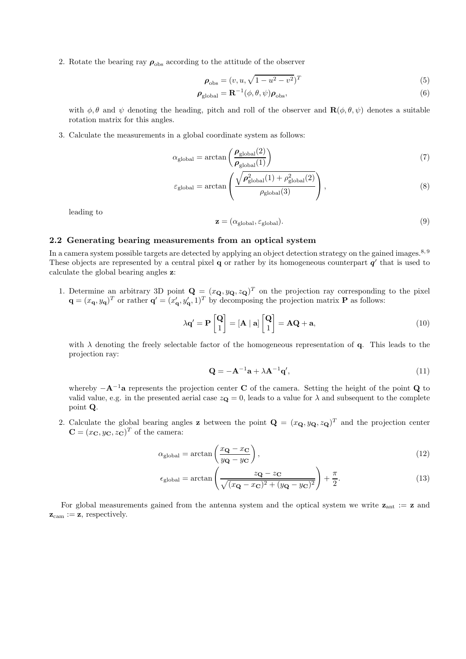2. Rotate the bearing ray  $\rho_{obs}$  according to the attitude of the observer

$$
\rho_{\rm obs} = (v, u, \sqrt{1 - u^2 - v^2})^T
$$
\n(5)

$$
\boldsymbol{\rho}_{\text{global}} = \mathbf{R}^{-1}(\phi, \theta, \psi) \boldsymbol{\rho}_{\text{obs}},\tag{6}
$$

with  $\phi, \theta$  and  $\psi$  denoting the heading, pitch and roll of the observer and  $\mathbf{R}(\phi, \theta, \psi)$  denotes a suitable rotation matrix for this angles.

3. Calculate the measurements in a global coordinate system as follows:

$$
\alpha_{\text{global}} = \arctan\left(\frac{\rho_{\text{global}}(2)}{\rho_{\text{global}}(1)}\right) \tag{7}
$$

$$
\varepsilon_{\text{global}} = \arctan\left(\frac{\sqrt{\rho_{\text{global}}^2(1) + \rho_{\text{global}}^2(2)}}{\rho_{\text{global}}(3)}\right),\tag{8}
$$

leading to

$$
\mathbf{z} = (\alpha_{\text{global}}, \varepsilon_{\text{global}}). \tag{9}
$$

#### 2.2 Generating bearing measurements from an optical system

In a camera system possible targets are detected by applying an object detection strategy on the gained images.<sup>8, 9</sup> These objects are represented by a central pixel  $q$  or rather by its homogeneous counterpart  $q'$  that is used to calculate the global bearing angles z:

1. Determine an arbitrary 3D point  $\mathbf{Q} = (x_{\mathbf{Q}}, y_{\mathbf{Q}}, z_{\mathbf{Q}})^T$  on the projection ray corresponding to the pixel  $\mathbf{q} = (x_{\mathbf{q}}, y_{\mathbf{q}})^T$  or rather  $\mathbf{q}' = (x'_{\mathbf{q}}, y'_{\mathbf{q}}, 1)^T$  by decomposing the projection matrix **P** as follows:

$$
\lambda \mathbf{q}' = \mathbf{P} \begin{bmatrix} \mathbf{Q} \\ 1 \end{bmatrix} = [\mathbf{A} \mid \mathbf{a}] \begin{bmatrix} \mathbf{Q} \\ 1 \end{bmatrix} = \mathbf{A} \mathbf{Q} + \mathbf{a}, \tag{10}
$$

with  $\lambda$  denoting the freely selectable factor of the homogeneous representation of q. This leads to the projection ray:

$$
\mathbf{Q} = -\mathbf{A}^{-1}\mathbf{a} + \lambda \mathbf{A}^{-1}\mathbf{q}',\tag{11}
$$

whereby  $-A^{-1}a$  represents the projection center C of the camera. Setting the height of the point Q to valid value, e.g. in the presented aerial case  $z_{\mathbf{Q}} = 0$ , leads to a value for  $\lambda$  and subsequent to the complete point Q.

2. Calculate the global bearing angles **z** between the point  $\mathbf{Q} = (x_{\mathbf{Q}}, y_{\mathbf{Q}}, z_{\mathbf{Q}})^T$  and the projection center  $\mathbf{C} = (x_{\mathbf{C}}, y_{\mathbf{C}}, z_{\mathbf{C}})^T$  of the camera:

$$
\alpha_{\text{global}} = \arctan\left(\frac{x_{\mathbf{Q}} - x_{\mathbf{C}}}{y_{\mathbf{Q}} - y_{\mathbf{C}}}\right),\tag{12}
$$

$$
\epsilon_{\text{global}} = \arctan\left(\frac{z_{\mathbf{Q}} - z_{\mathbf{C}}}{\sqrt{(x_{\mathbf{Q}} - x_{\mathbf{C}})^2 + (y_{\mathbf{Q}} - y_{\mathbf{C}})^2}}\right) + \frac{\pi}{2}.
$$
\n(13)

For global measurements gained from the antenna system and the optical system we write  $z_{ant} := z$  and  $z_{\text{cam}} := z$ , respectively.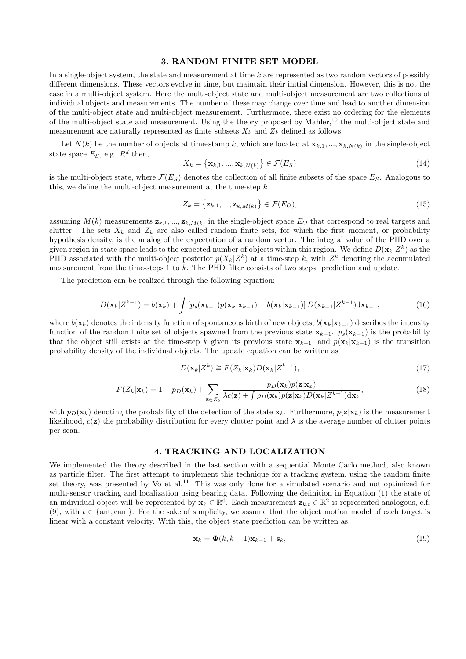#### 3. RANDOM FINITE SET MODEL

In a single-object system, the state and measurement at time  $k$  are represented as two random vectors of possibly different dimensions. These vectors evolve in time, but maintain their initial dimension. However, this is not the case in a multi-object system. Here the multi-object state and multi-object measurement are two collections of individual objects and measurements. The number of these may change over time and lead to another dimension of the multi-object state and multi-object measurement. Furthermore, there exist no ordering for the elements of the multi-object state and measurement. Using the theory proposed by Mahler,<sup>10</sup> the multi-object state and measurement are naturally represented as finite subsets  $X_k$  and  $Z_k$  defined as follows:

Let  $N(k)$  be the number of objects at time-stamp k, which are located at  $\mathbf{x}_{k,1},...,\mathbf{x}_{k,N(k)}$  in the single-object state space  $E_S$ , e.g.  $R^d$  then,

$$
X_k = \left\{ \mathbf{x}_{k,1}, \dots, \mathbf{x}_{k,N(k)} \right\} \in \mathcal{F}(E_S)
$$
\n
$$
(14)
$$

is the multi-object state, where  $\mathcal{F}(E_S)$  denotes the collection of all finite subsets of the space  $E_S$ . Analogous to this, we define the multi-object measurement at the time-step  $k$ 

$$
Z_k = \left\{ \mathbf{z}_{k,1}, \dots, \mathbf{z}_{k,M(k)} \right\} \in \mathcal{F}(E_O), \tag{15}
$$

assuming  $M(k)$  measurements  $z_{k,1},...,z_{k,M(k)}$  in the single-object space  $E_O$  that correspond to real targets and clutter. The sets  $X_k$  and  $Z_k$  are also called random finite sets, for which the first moment, or probability hypothesis density, is the analog of the expectation of a random vector. The integral value of the PHD over a given region in state space leads to the expected number of objects within this region. We define  $D(\mathbf{x}_k|Z^k)$  as the PHD associated with the multi-object posterior  $p(X_k|Z^k)$  at a time-step k, with  $Z^k$  denoting the accumulated measurement from the time-steps 1 to  $k$ . The PHD filter consists of two steps: prediction and update.

The prediction can be realized through the following equation:

$$
D(\mathbf{x}_{k}|Z^{k-1}) = b(\mathbf{x}_{k}) + \int \left[ p_{s}(\mathbf{x}_{k-1}) p(\mathbf{x}_{k}|\mathbf{x}_{k-1}) + b(\mathbf{x}_{k}|\mathbf{x}_{k-1}) \right] D(\mathbf{x}_{k-1}|Z^{k-1}) d\mathbf{x}_{k-1},
$$
\n(16)

where  $b(\mathbf{x}_k)$  denotes the intensity function of spontaneous birth of new objects,  $b(\mathbf{x}_k|\mathbf{x}_{k-1})$  describes the intensity function of the random finite set of objects spawned from the previous state  $\mathbf{x}_{k-1}$ .  $p_s(\mathbf{x}_{k-1})$  is the probability that the object still exists at the time-step k given its previous state  $\mathbf{x}_{k-1}$ , and  $p(\mathbf{x}_k|\mathbf{x}_{k-1})$  is the transition probability density of the individual objects. The update equation can be written as

$$
D(\mathbf{x}_k|Z^k) \cong F(Z_k|\mathbf{x}_k)D(\mathbf{x}_k|Z^{k-1}),\tag{17}
$$

$$
F(Z_k|\mathbf{x}_k) = 1 - p_D(\mathbf{x}_k) + \sum_{\mathbf{z}\in Z_k} \frac{p_D(\mathbf{x}_k)p(\mathbf{z}|\mathbf{x}_x)}{\lambda c(\mathbf{z}) + \int p_D(\mathbf{x}_k)p(\mathbf{z}|\mathbf{x}_k)D(\mathbf{x}_k|Z^{k-1})d\mathbf{x}_k},\tag{18}
$$

with  $p_D(\mathbf{x}_k)$  denoting the probability of the detection of the state  $\mathbf{x}_k$ . Furthermore,  $p(\mathbf{z}|\mathbf{x}_k)$  is the measurement likelihood,  $c(\mathbf{z})$  the probability distribution for every clutter point and  $\lambda$  is the average number of clutter points per scan.

### 4. TRACKING AND LOCALIZATION

We implemented the theory described in the last section with a sequential Monte Carlo method, also known as particle filter. The first attempt to implement this technique for a tracking system, using the random finite set theory, was presented by Vo et al.<sup>11</sup> This was only done for a simulated scenario and not optimized for multi-sensor tracking and localization using bearing data. Following the definition in Equation (1) the state of an individual object will be represented by  $\mathbf{x}_k \in \mathbb{R}^6$ . Each measurement  $\mathbf{z}_{k,t} \in \mathbb{R}^2$  is represented analogous, c.f. (9), with  $t \in \{\text{ant}, \text{cam}\}\text{.}$  For the sake of simplicity, we assume that the object motion model of each target is linear with a constant velocity. With this, the object state prediction can be written as:

$$
\mathbf{x}_k = \mathbf{\Phi}(k, k-1)\mathbf{x}_{k-1} + \mathbf{s}_k,\tag{19}
$$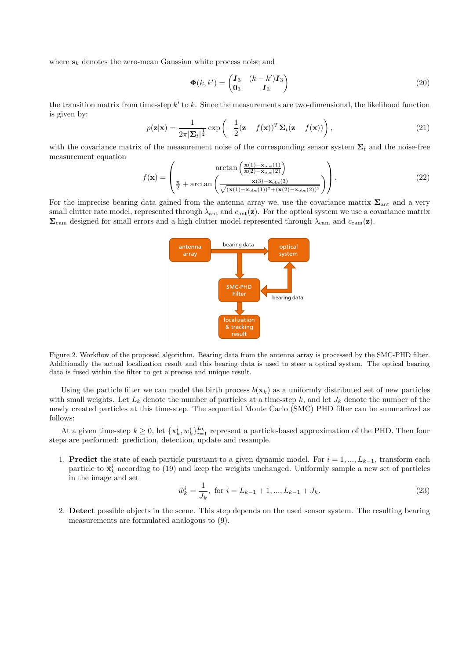where  $s_k$  denotes the zero-mean Gaussian white process noise and

$$
\mathbf{\Phi}(k,k') = \begin{pmatrix} \mathbf{I}_3 & (k-k')\mathbf{I}_3 \\ \mathbf{0}_3 & \mathbf{I}_3 \end{pmatrix} \tag{20}
$$

the transition matrix from time-step  $k'$  to k. Since the measurements are two-dimensional, the likelihood function is given by:

$$
p(\mathbf{z}|\mathbf{x}) = \frac{1}{2\pi |\mathbf{\Sigma}_t|^{\frac{1}{2}}} \exp\left(-\frac{1}{2}(\mathbf{z} - f(\mathbf{x}))^T \mathbf{\Sigma}_t (\mathbf{z} - f(\mathbf{x}))\right),\tag{21}
$$

with the covariance matrix of the measurement noise of the corresponding sensor system  $\Sigma_t$  and the noise-free measurement equation

$$
f(\mathbf{x}) = \begin{pmatrix} \arctan\left(\frac{\mathbf{x}(1) - \mathbf{x}_{\text{obs}}(1)}{\mathbf{x}(2) - \mathbf{x}_{\text{obs}}(2)}\right) \\ \frac{\pi}{2} + \arctan\left(\frac{\mathbf{x}(3) - \mathbf{x}_{\text{obs}}(3)}{\sqrt{(\mathbf{x}(1) - \mathbf{x}_{\text{obs}}(1))^2 + (\mathbf{x}(2) - \mathbf{x}_{\text{obs}}(2))^2}}\right) \end{pmatrix} . \tag{22}
$$

For the imprecise bearing data gained from the antenna array we, use the covariance matrix  $\Sigma_{\text{ant}}$  and a very small clutter rate model, represented through  $\lambda_{ant}$  and  $c_{ant}(\mathbf{z})$ . For the optical system we use a covariance matrix  $\Sigma_{\text{cam}}$  designed for small errors and a high clutter model represented through  $\lambda_{\text{cam}}$  and  $c_{\text{cam}}(z)$ .



Figure 2. Workflow of the proposed algorithm. Bearing data from the antenna array is processed by the SMC-PHD filter. Additionally the actual localization result and this bearing data is used to steer a optical system. The optical bearing data is fused within the filter to get a precise and unique result.

Using the particle filter we can model the birth process  $b(\mathbf{x}_k)$  as a uniformly distributed set of new particles with small weights. Let  $L_k$  denote the number of particles at a time-step k, and let  $J_k$  denote the number of the newly created particles at this time-step. The sequential Monte Carlo (SMC) PHD filter can be summarized as follows:

At a given time-step  $k \geq 0$ , let  $\{\mathbf{x}_k^i, w_k^i\}_{i=1}^{L_k}$  represent a particle-based approximation of the PHD. Then four steps are performed: prediction, detection, update and resample.

1. **Predict** the state of each particle pursuant to a given dynamic model. For  $i = 1, ..., L_{k-1}$ , transform each particle to  $\tilde{\mathbf{x}}_k^i$  according to (19) and keep the weights unchanged. Uniformly sample a new set of particles in the image and set

$$
\tilde{w}_k^i = \frac{1}{J_k}, \text{ for } i = L_{k-1} + 1, ..., L_{k-1} + J_k.
$$
\n(23)

2. Detect possible objects in the scene. This step depends on the used sensor system. The resulting bearing measurements are formulated analogous to (9).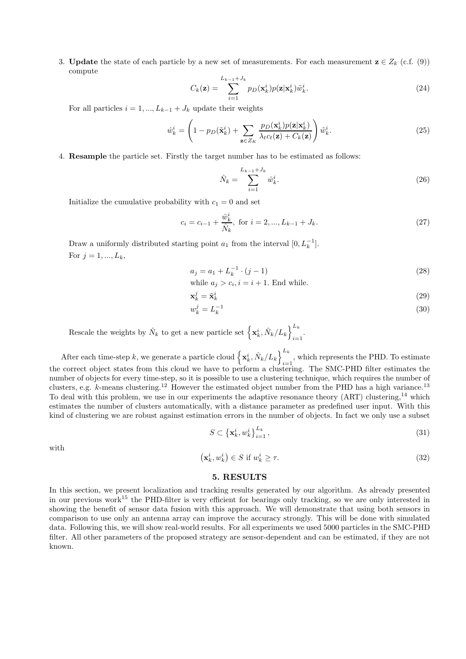3. **Update** the state of each particle by a new set of measurements. For each measurement  $z \in Z_k$  (c.f. (9)) compute

$$
C_k(\mathbf{z}) = \sum_{i=1}^{L_{k-1}+J_k} p_D(\mathbf{x}_k^i) p(\mathbf{z}|\mathbf{x}_k^i) \tilde{w}_k^i.
$$
 (24)

For all particles  $i = 1, ..., L_{k-1} + J_k$  update their weights

$$
\hat{w}_k^i = \left(1 - p_D(\tilde{\mathbf{x}}_k^i) + \sum_{\mathbf{z} \in Z_K} \frac{p_D(\mathbf{x}_k^i) p(\mathbf{z} | \mathbf{x}_k^i)}{\lambda_t c_t(\mathbf{z}) + C_k(\mathbf{z})}\right) \tilde{w}_k^i.
$$
\n(25)

4. Resample the particle set. Firstly the target number has to be estimated as follows:

$$
\hat{N}_k = \sum_{i=1}^{L_{k-1} + J_k} \hat{w}_k^i.
$$
\n(26)

Initialize the cumulative probability with  $c_1 = 0$  and set

$$
c_i = c_{i-1} + \frac{\hat{w}_k^i}{\hat{N}_k}, \text{ for } i = 2, ..., L_{k-1} + J_k.
$$
 (27)

Draw a uniformly distributed starting point  $a_1$  from the interval  $[0, L_k^{-1}]$ . For  $j = 1, ..., L_k$ ,

$$
a_j = a_1 + L_k^{-1} \cdot (j-1) \tag{28}
$$

while 
$$
a_j > c_i
$$
,  $i = i + 1$ . End while.

$$
\mathbf{x}_k^j = \tilde{\mathbf{x}}_k^i \tag{29}
$$

$$
w_k^j = L_k^{-1} \tag{30}
$$

Rescale the weights by  $\hat{N}_k$  to get a new particle set  $\left\{ \mathbf{x}_k^i, \hat{N}_k / L_k \right\}_{i=1}^{L_k}$  $i=1$ 

After each time-step k, we generate a particle cloud  $\left\{ \mathbf{x}_{k}^{i}, \hat{N}_{k}/L_{k}\right\}^{L_{k}}$  $i=1$ , which represents the PHD. To estimate the correct object states from this cloud we have to perform a clustering. The SMC-PHD filter estimates the number of objects for every time-step, so it is possible to use a clustering technique, which requires the number of clusters, e.g.  $k$ -means clustering.<sup>12</sup> However the estimated object number from the PHD has a high variance.<sup>13</sup> To deal with this problem, we use in our experiments the adaptive resonance theory (ART) clustering,<sup>14</sup> which estimates the number of clusters automatically, with a distance parameter as predefined user input. With this kind of clustering we are robust against estimation errors in the number of objects. In fact we only use a subset

$$
S \subset \left\{ \mathbf{x}_k^i, w_k^i \right\}_{i=1}^{L_k},\tag{31}
$$

with

$$
\left(\mathbf{x}_{k}^{i}, w_{k}^{i}\right) \in S \text{ if } w_{k}^{i} \geq \tau. \tag{32}
$$

## 5. RESULTS

In this section, we present localization and tracking results generated by our algorithm. As already presented in our previous work<sup>15</sup> the PHD-filter is very efficient for bearings only tracking, so we are only interested in showing the benefit of sensor data fusion with this approach. We will demonstrate that using both sensors in comparison to use only an antenna array can improve the accuracy strongly. This will be done with simulated data. Following this, we will show real-world results. For all experiments we used 5000 particles in the SMC-PHD filter. All other parameters of the proposed strategy are sensor-dependent and can be estimated, if they are not known.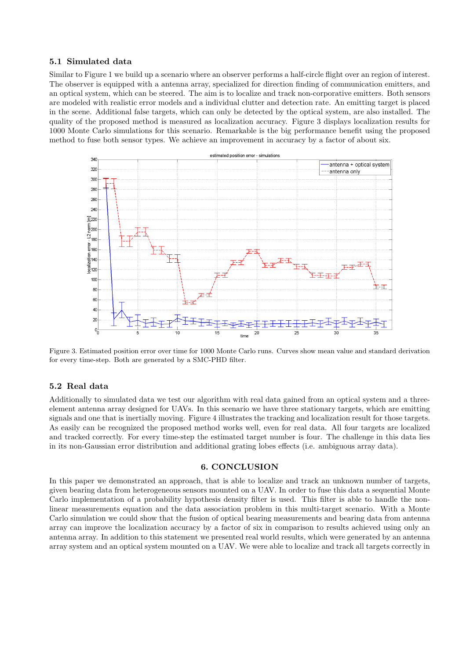## 5.1 Simulated data

Similar to Figure 1 we build up a scenario where an observer performs a half-circle flight over an region of interest. The observer is equipped with a antenna array, specialized for direction finding of communication emitters, and an optical system, which can be steered. The aim is to localize and track non-corporative emitters. Both sensors are modeled with realistic error models and a individual clutter and detection rate. An emitting target is placed in the scene. Additional false targets, which can only be detected by the optical system, are also installed. The quality of the proposed method is measured as localization accuracy. Figure 3 displays localization results for 1000 Monte Carlo simulations for this scenario. Remarkable is the big performance benefit using the proposed method to fuse both sensor types. We achieve an improvement in accuracy by a factor of about six.



Figure 3. Estimated position error over time for 1000 Monte Carlo runs. Curves show mean value and standard derivation for every time-step. Both are generated by a SMC-PHD filter.

#### 5.2 Real data

Additionally to simulated data we test our algorithm with real data gained from an optical system and a threeelement antenna array designed for UAVs. In this scenario we have three stationary targets, which are emitting signals and one that is inertially moving. Figure 4 illustrates the tracking and localization result for those targets. As easily can be recognized the proposed method works well, even for real data. All four targets are localized and tracked correctly. For every time-step the estimated target number is four. The challenge in this data lies in its non-Gaussian error distribution and additional grating lobes effects (i.e. ambiguous array data).

## 6. CONCLUSION

In this paper we demonstrated an approach, that is able to localize and track an unknown number of targets, given bearing data from heterogeneous sensors mounted on a UAV. In order to fuse this data a sequential Monte Carlo implementation of a probability hypothesis density filter is used. This filter is able to handle the nonlinear measurements equation and the data association problem in this multi-target scenario. With a Monte Carlo simulation we could show that the fusion of optical bearing measurements and bearing data from antenna array can improve the localization accuracy by a factor of six in comparison to results achieved using only an antenna array. In addition to this statement we presented real world results, which were generated by an antenna array system and an optical system mounted on a UAV. We were able to localize and track all targets correctly in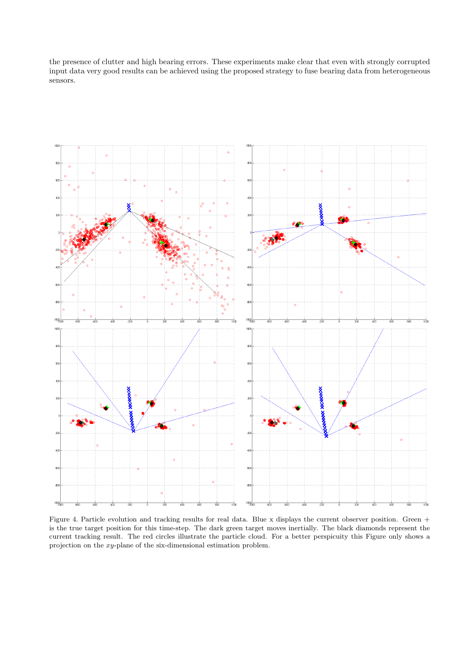the presence of clutter and high bearing errors. These experiments make clear that even with strongly corrupted input data very good results can be achieved using the proposed strategy to fuse bearing data from heterogeneous sensors.



Figure 4. Particle evolution and tracking results for real data. Blue x displays the current observer position. Green + is the true target position for this time-step. The dark green target moves inertially. The black diamonds represent the current tracking result. The red circles illustrate the particle cloud. For a better perspicuity this Figure only shows a projection on the xy-plane of the six-dimensional estimation problem.